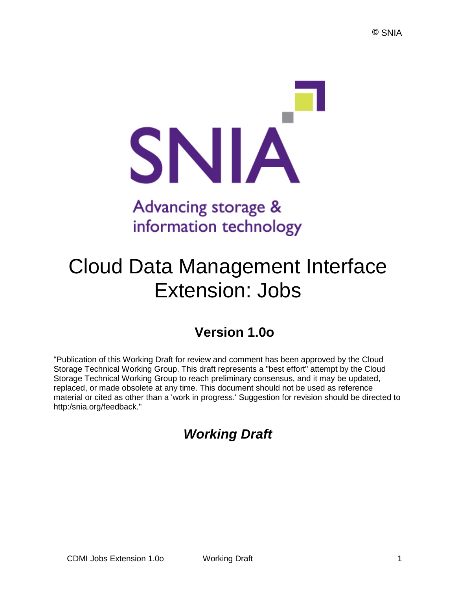

# Advancing storage & information technology

# Cloud Data Management Interface Extension: Jobs

# **Version 1.0o**

"Publication of this Working Draft for review and comment has been approved by the Cloud Storage Technical Working Group. This draft represents a "best effort" attempt by the Cloud Storage Technical Working Group to reach preliminary consensus, and it may be updated, replaced, or made obsolete at any time. This document should not be used as reference material or cited as other than a 'work in progress.' Suggestion for revision should be directed to http:/snia.org/feedback."

# *Working Draft*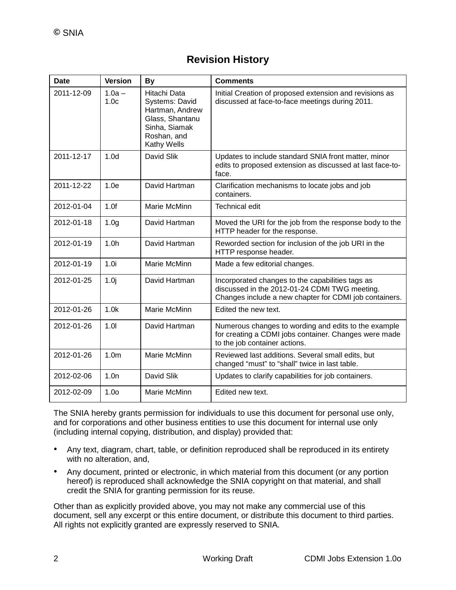# **Revision History**

| <b>Date</b> | <b>Version</b>               | <b>By</b>                                                                                                           | <b>Comments</b>                                                                                                                                             |
|-------------|------------------------------|---------------------------------------------------------------------------------------------------------------------|-------------------------------------------------------------------------------------------------------------------------------------------------------------|
| 2011-12-09  | $1.0a -$<br>1.0 <sub>c</sub> | Hitachi Data<br>Systems: David<br>Hartman, Andrew<br>Glass, Shantanu<br>Sinha, Siamak<br>Roshan, and<br>Kathy Wells | Initial Creation of proposed extension and revisions as<br>discussed at face-to-face meetings during 2011.                                                  |
| 2011-12-17  | 1.0 <sub>d</sub>             | David Slik                                                                                                          | Updates to include standard SNIA front matter, minor<br>edits to proposed extension as discussed at last face-to-<br>face.                                  |
| 2011-12-22  | 1.0e                         | David Hartman                                                                                                       | Clarification mechanisms to locate jobs and job<br>containers.                                                                                              |
| 2012-01-04  | 1.0f                         | Marie McMinn                                                                                                        | <b>Technical edit</b>                                                                                                                                       |
| 2012-01-18  | 1.0 <sub>g</sub>             | David Hartman                                                                                                       | Moved the URI for the job from the response body to the<br>HTTP header for the response.                                                                    |
| 2012-01-19  | 1.0 <sub>h</sub>             | David Hartman                                                                                                       | Reworded section for inclusion of the job URI in the<br>HTTP response header.                                                                               |
| 2012-01-19  | 1.0i                         | Marie McMinn                                                                                                        | Made a few editorial changes.                                                                                                                               |
| 2012-01-25  | 1.0j                         | David Hartman                                                                                                       | Incorporated changes to the capabilities tags as<br>discussed in the 2012-01-24 CDMI TWG meeting.<br>Changes include a new chapter for CDMI job containers. |
| 2012-01-26  | 1.0k                         | Marie McMinn                                                                                                        | Edited the new text.                                                                                                                                        |
| 2012-01-26  | 1.01                         | David Hartman                                                                                                       | Numerous changes to wording and edits to the example<br>for creating a CDMI jobs container. Changes were made<br>to the job container actions.              |
| 2012-01-26  | 1.0 <sub>m</sub>             | Marie McMinn                                                                                                        | Reviewed last additions. Several small edits, but<br>changed "must" to "shall" twice in last table.                                                         |
| 2012-02-06  | 1.0n                         | David Slik                                                                                                          | Updates to clarify capabilities for job containers.                                                                                                         |
| 2012-02-09  | 1.0 <sub>o</sub>             | Marie McMinn                                                                                                        | Edited new text.                                                                                                                                            |

The SNIA hereby grants permission for individuals to use this document for personal use only, and for corporations and other business entities to use this document for internal use only (including internal copying, distribution, and display) provided that:

- Any text, diagram, chart, table, or definition reproduced shall be reproduced in its entirety with no alteration, and,
- Any document, printed or electronic, in which material from this document (or any portion hereof) is reproduced shall acknowledge the SNIA copyright on that material, and shall credit the SNIA for granting permission for its reuse.

Other than as explicitly provided above, you may not make any commercial use of this document, sell any excerpt or this entire document, or distribute this document to third parties. All rights not explicitly granted are expressly reserved to SNIA.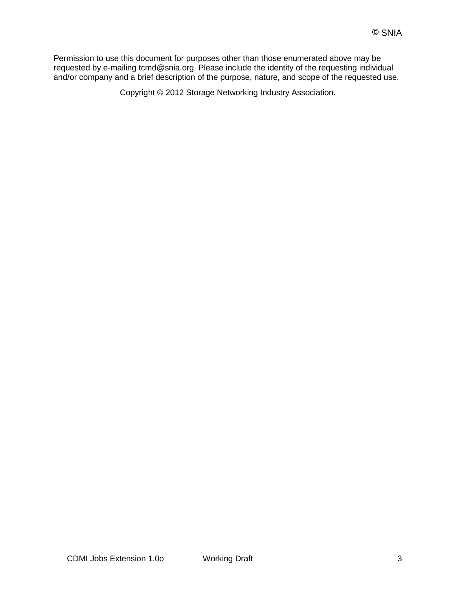Permission to use this document for purposes other than those enumerated above may be requested by e-mailing tcmd@snia.org. Please include the identity of the requesting individual and/or company and a brief description of the purpose, nature, and scope of the requested use.

Copyright © 2012 Storage Networking Industry Association.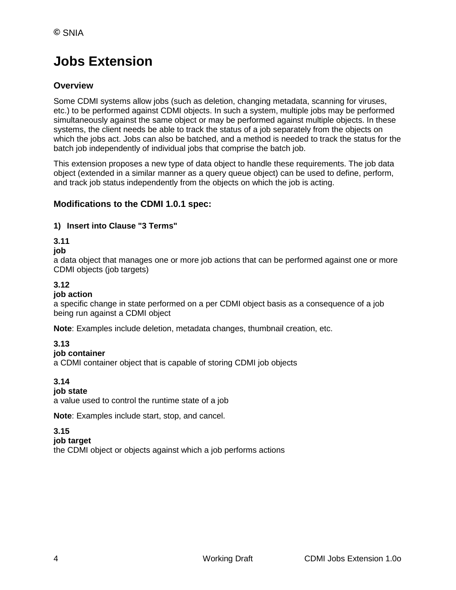# **Jobs Extension**

# **Overview**

Some CDMI systems allow jobs (such as deletion, changing metadata, scanning for viruses, etc.) to be performed against CDMI objects. In such a system, multiple jobs may be performed simultaneously against the same object or may be performed against multiple objects. In these systems, the client needs be able to track the status of a job separately from the objects on which the jobs act. Jobs can also be batched, and a method is needed to track the status for the batch job independently of individual jobs that comprise the batch job.

This extension proposes a new type of data object to handle these requirements. The job data object (extended in a similar manner as a query queue object) can be used to define, perform, and track job status independently from the objects on which the job is acting.

# **Modifications to the CDMI 1.0.1 spec:**

### **1) Insert into Clause "3 Terms"**

### **3.11**

#### **job**

a data object that manages one or more job actions that can be performed against one or more CDMI objects (job targets)

# **3.12**

#### **job action**

a specific change in state performed on a per CDMI object basis as a consequence of a job being run against a CDMI object

**Note**: Examples include deletion, metadata changes, thumbnail creation, etc.

# **3.13**

#### **job container**

a CDMI container object that is capable of storing CDMI job objects

#### **3.14**

#### **job state**

a value used to control the runtime state of a job

**Note**: Examples include start, stop, and cancel.

#### **3.15**

#### **job target**

the CDMI object or objects against which a job performs actions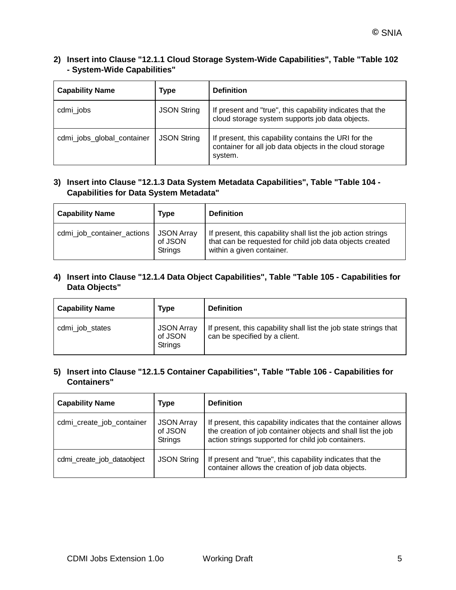#### **2) Insert into Clause "12.1.1 Cloud Storage System-Wide Capabilities", Table "Table 102 - System-Wide Capabilities"**

| <b>Capability Name</b>     | Type               | <b>Definition</b>                                                                                                          |
|----------------------------|--------------------|----------------------------------------------------------------------------------------------------------------------------|
| cdmi_jobs                  | <b>JSON String</b> | If present and "true", this capability indicates that the<br>cloud storage system supports job data objects.               |
| cdmi_jobs_global_container | <b>JSON String</b> | If present, this capability contains the URI for the<br>container for all job data objects in the cloud storage<br>system. |

#### **3) Insert into Clause "12.1.3 Data System Metadata Capabilities", Table "Table 104 - Capabilities for Data System Metadata"**

| <b>Capability Name</b>     | Type                                    | <b>Definition</b>                                                                                                                                      |
|----------------------------|-----------------------------------------|--------------------------------------------------------------------------------------------------------------------------------------------------------|
| cdmi_job_container_actions | <b>JSON Array</b><br>of JSON<br>Strings | If present, this capability shall list the job action strings<br>that can be requested for child job data objects created<br>within a given container. |

#### **4) Insert into Clause "12.1.4 Data Object Capabilities", Table "Table 105 - Capabilities for Data Objects"**

| <b>Capability Name</b> | Type                                    | <b>Definition</b>                                                                                  |
|------------------------|-----------------------------------------|----------------------------------------------------------------------------------------------------|
| cdmi_job_states        | <b>JSON Array</b><br>of JSON<br>Strings | If present, this capability shall list the job state strings that<br>can be specified by a client. |

#### **5) Insert into Clause "12.1.5 Container Capabilities", Table "Table 106 - Capabilities for Containers"**

| <b>Capability Name</b>                           | Type                                           | <b>Definition</b>                                                                                                                                                                     |
|--------------------------------------------------|------------------------------------------------|---------------------------------------------------------------------------------------------------------------------------------------------------------------------------------------|
| cdmi_create_job_container                        | <b>JSON Array</b><br>of JSON<br><b>Strings</b> | If present, this capability indicates that the container allows<br>the creation of job container objects and shall list the job<br>action strings supported for child job containers. |
| <b>JSON String</b><br>cdmi_create_job_dataobject |                                                | If present and "true", this capability indicates that the<br>container allows the creation of job data objects.                                                                       |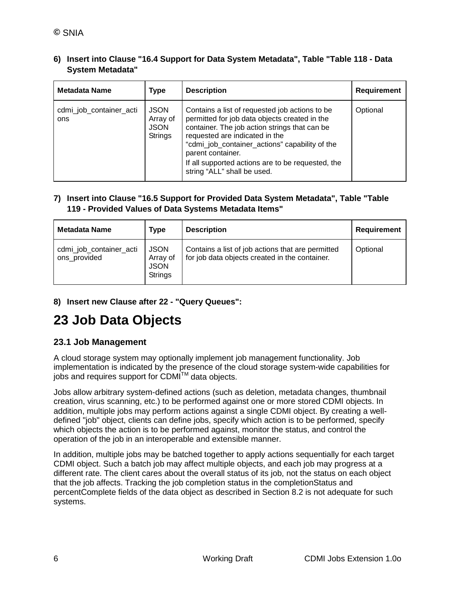**6) Insert into Clause "16.4 Support for Data System Metadata", Table "Table 118 - Data System Metadata"**

| <b>Metadata Name</b>           | <b>Type</b>                                              | <b>Description</b>                                                                                                                                                                                                                                                                                                                            | <b>Requirement</b> |
|--------------------------------|----------------------------------------------------------|-----------------------------------------------------------------------------------------------------------------------------------------------------------------------------------------------------------------------------------------------------------------------------------------------------------------------------------------------|--------------------|
| cdmi_job_container_acti<br>ons | <b>JSON</b><br>Array of<br><b>JSON</b><br><b>Strings</b> | Contains a list of requested job actions to be<br>permitted for job data objects created in the<br>container. The job action strings that can be<br>requested are indicated in the<br>"cdmi_job_container_actions" capability of the<br>parent container.<br>If all supported actions are to be requested, the<br>string "ALL" shall be used. | Optional           |

#### **7) Insert into Clause "16.5 Support for Provided Data System Metadata", Table "Table 119 - Provided Values of Data Systems Metadata Items"**

| Metadata Name                           | Type                                                     | <b>Description</b>                                                                                  | Requirement |
|-----------------------------------------|----------------------------------------------------------|-----------------------------------------------------------------------------------------------------|-------------|
| cdmi_job_container_acti<br>ons_provided | <b>JSON</b><br>Array of<br><b>JSON</b><br><b>Strings</b> | Contains a list of job actions that are permitted<br>for job data objects created in the container. | Optional    |

#### **8) Insert new Clause after 22 - "Query Queues":**

# **23 Job Data Objects**

#### **23.1 Job Management**

A cloud storage system may optionally implement job management functionality. Job implementation is indicated by the presence of the cloud storage system-wide capabilities for jobs and requires support for CDMI $\text{TM}$  data objects.

Jobs allow arbitrary system-defined actions (such as deletion, metadata changes, thumbnail creation, virus scanning, etc.) to be performed against one or more stored CDMI objects. In addition, multiple jobs may perform actions against a single CDMI object. By creating a welldefined "job" object, clients can define jobs, specify which action is to be performed, specify which objects the action is to be performed against, monitor the status, and control the operation of the job in an interoperable and extensible manner.

In addition, multiple jobs may be batched together to apply actions sequentially for each target CDMI object. Such a batch job may affect multiple objects, and each job may progress at a different rate. The client cares about the overall status of its job, not the status on each object that the job affects. Tracking the job completion status in the completionStatus and percentComplete fields of the data object as described in Section 8.2 is not adequate for such systems.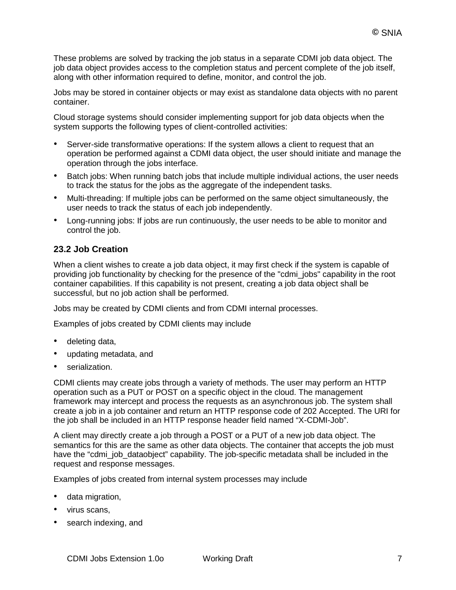These problems are solved by tracking the job status in a separate CDMI job data object. The job data object provides access to the completion status and percent complete of the job itself, along with other information required to define, monitor, and control the job.

Jobs may be stored in container objects or may exist as standalone data objects with no parent container.

Cloud storage systems should consider implementing support for job data objects when the system supports the following types of client-controlled activities:

- Server-side transformative operations: If the system allows a client to request that an operation be performed against a CDMI data object, the user should initiate and manage the operation through the jobs interface.
- Batch jobs: When running batch jobs that include multiple individual actions, the user needs to track the status for the jobs as the aggregate of the independent tasks.
- Multi-threading: If multiple jobs can be performed on the same object simultaneously, the user needs to track the status of each job independently.
- Long-running jobs: If jobs are run continuously, the user needs to be able to monitor and control the job.

#### **23.2 Job Creation**

When a client wishes to create a job data object, it may first check if the system is capable of providing job functionality by checking for the presence of the "cdmi\_jobs" capability in the root container capabilities. If this capability is not present, creating a job data object shall be successful, but no job action shall be performed.

Jobs may be created by CDMI clients and from CDMI internal processes.

Examples of jobs created by CDMI clients may include

- deleting data,
- updating metadata, and
- serialization.

CDMI clients may create jobs through a variety of methods. The user may perform an HTTP operation such as a PUT or POST on a specific object in the cloud. The management framework may intercept and process the requests as an asynchronous job. The system shall create a job in a job container and return an HTTP response code of 202 Accepted. The URI for the job shall be included in an HTTP response header field named "X-CDMI-Job".

A client may directly create a job through a POST or a PUT of a new job data object. The semantics for this are the same as other data objects. The container that accepts the job must have the "cdmi\_job\_dataobject" capability. The job-specific metadata shall be included in the request and response messages.

Examples of jobs created from internal system processes may include

- data migration,
- virus scans,
- search indexing, and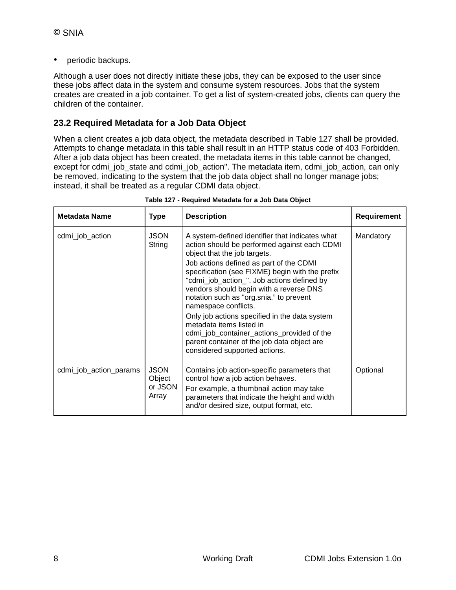• periodic backups.

Although a user does not directly initiate these jobs, they can be exposed to the user since these jobs affect data in the system and consume system resources. Jobs that the system creates are created in a job container. To get a list of system-created jobs, clients can query the children of the container.

#### **23.2 Required Metadata for a Job Data Object**

When a client creates a job data object, the metadata described in Table 127 shall be provided. Attempts to change metadata in this table shall result in an HTTP status code of 403 Forbidden. After a job data object has been created, the metadata items in this table cannot be changed, except for cdmi\_job\_state and cdmi\_job\_action". The metadata item, cdmi\_job\_action, can only be removed, indicating to the system that the job data object shall no longer manage jobs; instead, it shall be treated as a regular CDMI data object.

| <b>Metadata Name</b>   | <b>Type</b>                               | <b>Description</b>                                                                                                                                                                                                                                                                                                                                                                                                                                                                                                                                                                                   | Requirement |
|------------------------|-------------------------------------------|------------------------------------------------------------------------------------------------------------------------------------------------------------------------------------------------------------------------------------------------------------------------------------------------------------------------------------------------------------------------------------------------------------------------------------------------------------------------------------------------------------------------------------------------------------------------------------------------------|-------------|
| cdmi_job_action        | <b>JSON</b><br>String                     | A system-defined identifier that indicates what<br>action should be performed against each CDMI<br>object that the job targets.<br>Job actions defined as part of the CDMI<br>specification (see FIXME) begin with the prefix<br>"cdmi_job_action_". Job actions defined by<br>vendors should begin with a reverse DNS<br>notation such as "org.snia." to prevent<br>namespace conflicts.<br>Only job actions specified in the data system<br>metadata items listed in<br>cdmi_job_container_actions_provided of the<br>parent container of the job data object are<br>considered supported actions. | Mandatory   |
| cdmi_job_action_params | <b>JSON</b><br>Object<br>or JSON<br>Array | Contains job action-specific parameters that<br>control how a job action behaves.<br>For example, a thumbnail action may take<br>parameters that indicate the height and width<br>and/or desired size, output format, etc.                                                                                                                                                                                                                                                                                                                                                                           | Optional    |

**Table 127 - Required Metadata for a Job Data Object**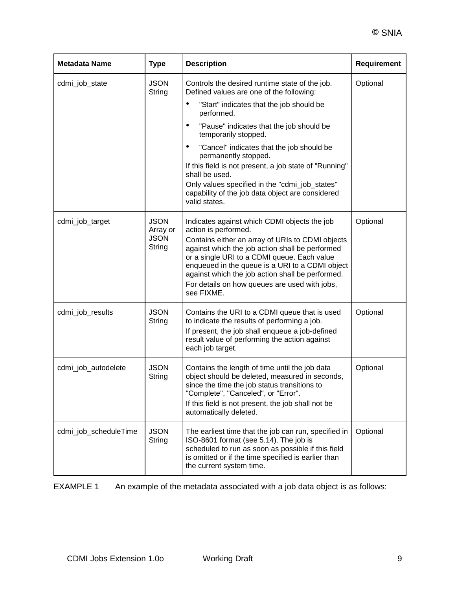| <b>Metadata Name</b>  | <b>Type</b>                                      | <b>Description</b>                                                                                                                                                                                                                                                                                                                                                                               | Requirement |
|-----------------------|--------------------------------------------------|--------------------------------------------------------------------------------------------------------------------------------------------------------------------------------------------------------------------------------------------------------------------------------------------------------------------------------------------------------------------------------------------------|-------------|
| cdmi_job_state        | <b>JSON</b><br>String                            | Controls the desired runtime state of the job.<br>Defined values are one of the following:                                                                                                                                                                                                                                                                                                       | Optional    |
|                       |                                                  | $\bullet$<br>"Start" indicates that the job should be<br>performed.                                                                                                                                                                                                                                                                                                                              |             |
|                       |                                                  | "Pause" indicates that the job should be<br>٠<br>temporarily stopped.                                                                                                                                                                                                                                                                                                                            |             |
|                       |                                                  | $\bullet$<br>"Cancel" indicates that the job should be<br>permanently stopped.                                                                                                                                                                                                                                                                                                                   |             |
|                       |                                                  | If this field is not present, a job state of "Running"<br>shall be used.                                                                                                                                                                                                                                                                                                                         |             |
|                       |                                                  | Only values specified in the "cdmi_job_states"<br>capability of the job data object are considered<br>valid states.                                                                                                                                                                                                                                                                              |             |
| cdmi_job_target       | <b>JSON</b><br>Array or<br><b>JSON</b><br>String | Indicates against which CDMI objects the job<br>action is performed.<br>Contains either an array of URIs to CDMI objects<br>against which the job action shall be performed<br>or a single URI to a CDMI queue. Each value<br>enqueued in the queue is a URI to a CDMI object<br>against which the job action shall be performed.<br>For details on how queues are used with jobs,<br>see FIXME. | Optional    |
| cdmi_job_results      | <b>JSON</b><br>String                            | Contains the URI to a CDMI queue that is used<br>to indicate the results of performing a job.<br>If present, the job shall enqueue a job-defined<br>result value of performing the action against<br>each job target.                                                                                                                                                                            | Optional    |
| cdmi_job_autodelete   | <b>JSON</b><br>String                            | Contains the length of time until the job data<br>object should be deleted, measured in seconds,<br>since the time the job status transitions to<br>"Complete", "Canceled", or "Error".<br>If this field is not present, the job shall not be<br>automatically deleted.                                                                                                                          | Optional    |
| cdmi_job_scheduleTime | <b>JSON</b><br>String                            | The earliest time that the job can run, specified in<br>ISO-8601 format (see 5.14). The job is<br>scheduled to run as soon as possible if this field<br>is omitted or if the time specified is earlier than<br>the current system time.                                                                                                                                                          | Optional    |

EXAMPLE 1 An example of the metadata associated with a job data object is as follows: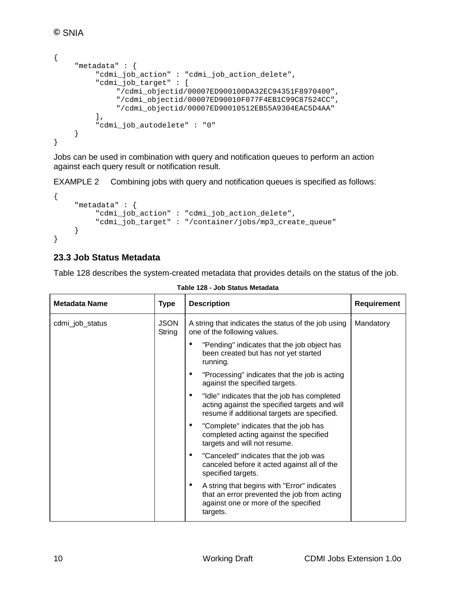```
{
    "metadata" : {
         "cdmi_job_action" : "cdmi_job_action_delete",
         "cdmi_job_target" : [
              "/cdmi_objectid/00007ED900100DA32EC94351F8970400",
              "/cdmi_objectid/00007ED90010F077F4EB1C99C87524CC",
              "/cdmi_objectid/00007ED90010512EB55A9304EAC5D4AA"
         ],
         "cdmi_job_autodelete" : "0"
    }
}
```
Jobs can be used in combination with query and notification queues to perform an action against each query result or notification result.

EXAMPLE 2 Combining jobs with query and notification queues is specified as follows:

```
{
    "metadata" : {
         "cdmi_job_action" : "cdmi_job_action_delete",
         "cdmi_job_target" : "/container/jobs/mp3_create_queue"
    }
}
```
### **23.3 Job Status Metadata**

Table 128 describes the system-created metadata that provides details on the status of the job.

| <b>Metadata Name</b> | <b>Type</b>           | <b>Description</b>                                                                                                                                  | <b>Requirement</b> |
|----------------------|-----------------------|-----------------------------------------------------------------------------------------------------------------------------------------------------|--------------------|
| cdmi_job_status      | <b>JSON</b><br>String | A string that indicates the status of the job using<br>one of the following values.                                                                 | Mandatory          |
|                      |                       | "Pending" indicates that the job object has<br>been created but has not yet started<br>running.                                                     |                    |
|                      |                       | "Processing" indicates that the job is acting<br>against the specified targets.                                                                     |                    |
|                      |                       | "Idle" indicates that the job has completed<br>acting against the specified targets and will<br>resume if additional targets are specified.         |                    |
|                      |                       | "Complete" indicates that the job has<br>completed acting against the specified<br>targets and will not resume.                                     |                    |
|                      |                       | "Canceled" indicates that the job was<br>٠<br>canceled before it acted against all of the<br>specified targets.                                     |                    |
|                      |                       | A string that begins with "Error" indicates<br>٠<br>that an error prevented the job from acting<br>against one or more of the specified<br>targets. |                    |

**Table 128 - Job Status Metadata**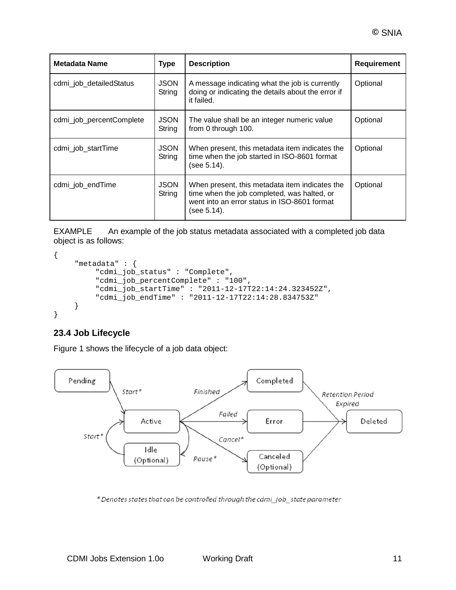| Metadata Name            | <b>Type</b>           | <b>Description</b>                                                                                                                                           | <b>Requirement</b> |
|--------------------------|-----------------------|--------------------------------------------------------------------------------------------------------------------------------------------------------------|--------------------|
| cdmi_job_detailedStatus  | <b>JSON</b><br>String | A message indicating what the job is currently<br>doing or indicating the details about the error if<br>it failed.                                           | Optional           |
| cdmi_job_percentComplete | <b>JSON</b><br>String | The value shall be an integer numeric value<br>from 0 through 100.                                                                                           | Optional           |
| cdmi_job_startTime       | <b>JSON</b><br>String | When present, this metadata item indicates the<br>time when the job started in ISO-8601 format<br>(see 5.14).                                                | Optional           |
| cdmi_job_endTime         | <b>JSON</b><br>String | When present, this metadata item indicates the<br>time when the job completed, was halted, or<br>went into an error status in ISO-8601 format<br>(see 5.14). | Optional           |

EXAMPLE An example of the job status metadata associated with a completed job data object is as follows:

```
{
     "metadata" : {
         "cdmi_job_status" : "Complete",
         "cdmi_job_percentComplete" : "100",
         "cdmi_job_startTime" : "2011-12-17T22:14:24.323452Z",
         "cdmi_job_endTime" : "2011-12-17T22:14:28.834753Z"
    }
}
```
# **23.4 Job Lifecycle**

[Figure 1](#page-11-0) shows the lifecycle of a job data object:



\* Denotes states that can be controlled through the cdmi\_job\_state parameter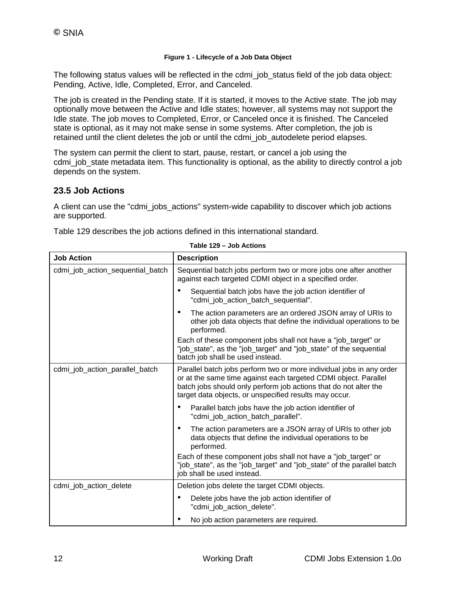#### **Figure 1 - Lifecycle of a Job Data Object**

<span id="page-11-0"></span>The following status values will be reflected in the cdmi\_job\_status field of the job data object: Pending, Active, Idle, Completed, Error, and Canceled.

The job is created in the Pending state. If it is started, it moves to the Active state. The job may optionally move between the Active and Idle states; however, all systems may not support the Idle state. The job moves to Completed, Error, or Canceled once it is finished. The Canceled state is optional, as it may not make sense in some systems. After completion, the job is retained until the client deletes the job or until the cdmi\_job\_autodelete period elapses.

The system can permit the client to start, pause, restart, or cancel a job using the cdmi\_job\_state metadata item. This functionality is optional, as the ability to directly control a job depends on the system.

### **23.5 Job Actions**

A client can use the "cdmi\_jobs\_actions" system-wide capability to discover which job actions are supported.

Table 129 describes the job actions defined in this international standard.

| <b>Job Action</b>                | <b>Description</b>                                                                                                                                                                                                                                                    |
|----------------------------------|-----------------------------------------------------------------------------------------------------------------------------------------------------------------------------------------------------------------------------------------------------------------------|
| cdmi_job_action_sequential_batch | Sequential batch jobs perform two or more jobs one after another<br>against each targeted CDMI object in a specified order.                                                                                                                                           |
|                                  | Sequential batch jobs have the job action identifier of<br>"cdmi_job_action_batch_sequential".                                                                                                                                                                        |
|                                  | The action parameters are an ordered JSON array of URIs to<br>other job data objects that define the individual operations to be<br>performed.                                                                                                                        |
|                                  | Each of these component jobs shall not have a "job_target" or<br>"job_state", as the "job_target" and "job_state" of the sequential<br>batch job shall be used instead.                                                                                               |
| cdmi_job_action_parallel_batch   | Parallel batch jobs perform two or more individual jobs in any order<br>or at the same time against each targeted CDMI object. Parallel<br>batch jobs should only perform job actions that do not alter the<br>target data objects, or unspecified results may occur. |
|                                  | Parallel batch jobs have the job action identifier of<br>"cdmi job action batch parallel".                                                                                                                                                                            |
|                                  | The action parameters are a JSON array of URIs to other job<br>data objects that define the individual operations to be<br>performed.                                                                                                                                 |
|                                  | Each of these component jobs shall not have a "job_target" or<br>"job_state", as the "job_target" and "job_state" of the parallel batch<br>job shall be used instead.                                                                                                 |
| cdmi_job_action_delete           | Deletion jobs delete the target CDMI objects.                                                                                                                                                                                                                         |
|                                  | Delete jobs have the job action identifier of<br>"cdmi_job_action_delete".                                                                                                                                                                                            |
|                                  | No job action parameters are required.                                                                                                                                                                                                                                |

**Table 129 – Job Actions**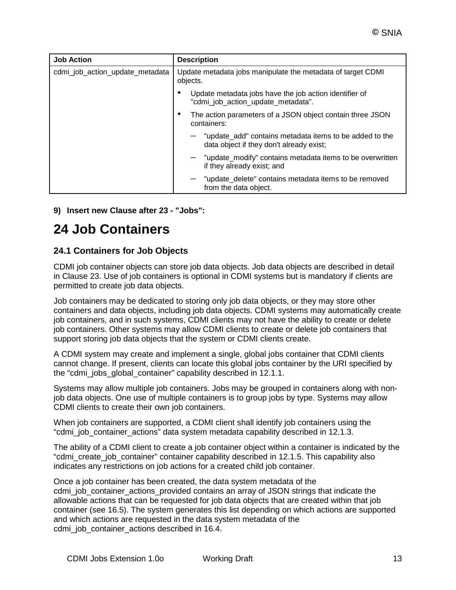| <b>Job Action</b>               | <b>Description</b>                                                                                  |
|---------------------------------|-----------------------------------------------------------------------------------------------------|
| cdmi_job_action_update_metadata | Update metadata jobs manipulate the metadata of target CDMI<br>objects.                             |
|                                 | Update metadata jobs have the job action identifier of<br>"cdmi_job_action_update_metadata".        |
|                                 | The action parameters of a JSON object contain three JSON<br>containers:                            |
|                                 | "update_add" contains metadata items to be added to the<br>data object if they don't already exist; |
|                                 | $-$ "update modify" contains metadata items to be overwritten<br>if they already exist; and         |
|                                 | "update_delete" contains metadata items to be removed<br>from the data object.                      |

**9) Insert new Clause after 23 - "Jobs":**

# **24 Job Containers**

### **24.1 Containers for Job Objects**

CDMI job container objects can store job data objects. Job data objects are described in detail in Clause 23. Use of job containers is optional in CDMI systems but is mandatory if clients are permitted to create job data objects.

Job containers may be dedicated to storing only job data objects, or they may store other containers and data objects, including job data objects. CDMI systems may automatically create job containers, and in such systems, CDMI clients may not have the ability to create or delete job containers. Other systems may allow CDMI clients to create or delete job containers that support storing job data objects that the system or CDMI clients create.

A CDMI system may create and implement a single, global jobs container that CDMI clients cannot change. If present, clients can locate this global jobs container by the URI specified by the "cdmi\_jobs\_global\_container" capability described in 12.1.1.

Systems may allow multiple job containers. Jobs may be grouped in containers along with nonjob data objects. One use of multiple containers is to group jobs by type. Systems may allow CDMI clients to create their own job containers.

When job containers are supported, a CDMI client shall identify job containers using the "cdmi\_job\_container\_actions" data system metadata capability described in 12.1.3.

The ability of a CDMI client to create a job container object within a container is indicated by the "cdmi\_create\_job\_container" container capability described in 12.1.5. This capability also indicates any restrictions on job actions for a created child job container.

Once a job container has been created, the data system metadata of the cdmi job container actions provided contains an array of JSON strings that indicate the allowable actions that can be requested for job data objects that are created within that job container (see 16.5). The system generates this list depending on which actions are supported and which actions are requested in the data system metadata of the cdmi\_job\_container\_actions described in 16.4.